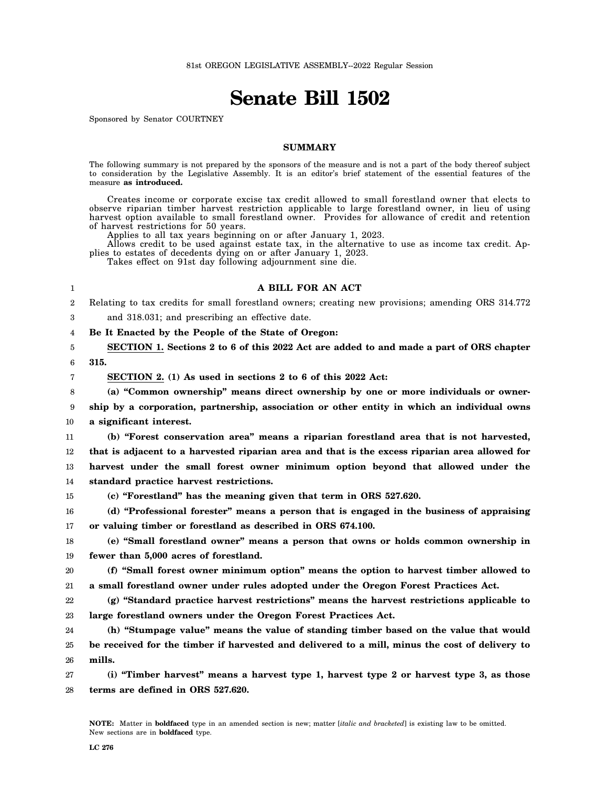# **Senate Bill 1502**

Sponsored by Senator COURTNEY

# **SUMMARY**

The following summary is not prepared by the sponsors of the measure and is not a part of the body thereof subject to consideration by the Legislative Assembly. It is an editor's brief statement of the essential features of the measure **as introduced.**

Creates income or corporate excise tax credit allowed to small forestland owner that elects to observe riparian timber harvest restriction applicable to large forestland owner, in lieu of using harvest option available to small forestland owner. Provides for allowance of credit and retention of harvest restrictions for 50 years.

Applies to all tax years beginning on or after January 1, 2023.

Allows credit to be used against estate tax, in the alternative to use as income tax credit. Applies to estates of decedents dying on or after January 1, 2023.

Takes effect on 91st day following adjournment sine die.

# **A BILL FOR AN ACT**

2 Relating to tax credits for small forestland owners; creating new provisions; amending ORS 314.772

3 and 318.031; and prescribing an effective date.

4 **Be It Enacted by the People of the State of Oregon:**

5 6 **SECTION 1. Sections 2 to 6 of this 2022 Act are added to and made a part of ORS chapter 315.**

1

7

**SECTION 2. (1) As used in sections 2 to 6 of this 2022 Act:**

8 9 10 **(a) "Common ownership" means direct ownership by one or more individuals or ownership by a corporation, partnership, association or other entity in which an individual owns a significant interest.**

11 12 13 14 **(b) "Forest conservation area" means a riparian forestland area that is not harvested, that is adjacent to a harvested riparian area and that is the excess riparian area allowed for harvest under the small forest owner minimum option beyond that allowed under the standard practice harvest restrictions.**

15

**(c) "Forestland" has the meaning given that term in ORS 527.620.**

16 17 **(d) "Professional forester" means a person that is engaged in the business of appraising or valuing timber or forestland as described in ORS 674.100.**

18 19 **(e) "Small forestland owner" means a person that owns or holds common ownership in fewer than 5,000 acres of forestland.**

20 21 **(f) "Small forest owner minimum option" means the option to harvest timber allowed to a small forestland owner under rules adopted under the Oregon Forest Practices Act.**

22 23 **(g) "Standard practice harvest restrictions" means the harvest restrictions applicable to large forestland owners under the Oregon Forest Practices Act.**

24 25 26 **(h) "Stumpage value" means the value of standing timber based on the value that would be received for the timber if harvested and delivered to a mill, minus the cost of delivery to mills.**

27 28 **(i) "Timber harvest" means a harvest type 1, harvest type 2 or harvest type 3, as those terms are defined in ORS 527.620.**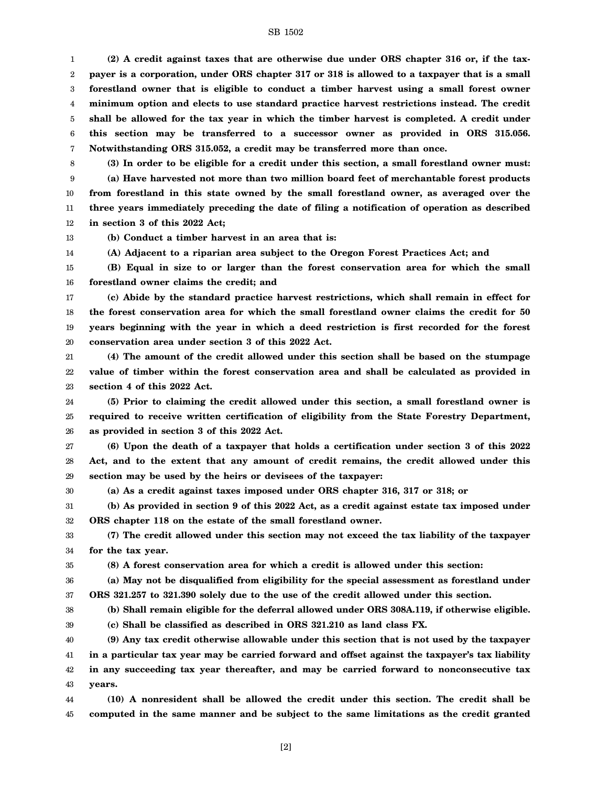#### SB 1502

1 2 3 4 5 6 7 **(2) A credit against taxes that are otherwise due under ORS chapter 316 or, if the taxpayer is a corporation, under ORS chapter 317 or 318 is allowed to a taxpayer that is a small forestland owner that is eligible to conduct a timber harvest using a small forest owner minimum option and elects to use standard practice harvest restrictions instead. The credit shall be allowed for the tax year in which the timber harvest is completed. A credit under this section may be transferred to a successor owner as provided in ORS 315.056. Notwithstanding ORS 315.052, a credit may be transferred more than once.**

8

9 10 11 12 **(3) In order to be eligible for a credit under this section, a small forestland owner must: (a) Have harvested not more than two million board feet of merchantable forest products from forestland in this state owned by the small forestland owner, as averaged over the three years immediately preceding the date of filing a notification of operation as described in section 3 of this 2022 Act;**

13 14 **(b) Conduct a timber harvest in an area that is:**

**(A) Adjacent to a riparian area subject to the Oregon Forest Practices Act; and**

15 16 **(B) Equal in size to or larger than the forest conservation area for which the small forestland owner claims the credit; and**

17 18 19 20 **(c) Abide by the standard practice harvest restrictions, which shall remain in effect for the forest conservation area for which the small forestland owner claims the credit for 50 years beginning with the year in which a deed restriction is first recorded for the forest conservation area under section 3 of this 2022 Act.**

21 22 23 **(4) The amount of the credit allowed under this section shall be based on the stumpage value of timber within the forest conservation area and shall be calculated as provided in section 4 of this 2022 Act.**

24 25 26 **(5) Prior to claiming the credit allowed under this section, a small forestland owner is required to receive written certification of eligibility from the State Forestry Department, as provided in section 3 of this 2022 Act.**

27 28 29 **(6) Upon the death of a taxpayer that holds a certification under section 3 of this 2022 Act, and to the extent that any amount of credit remains, the credit allowed under this section may be used by the heirs or devisees of the taxpayer:**

30

**(a) As a credit against taxes imposed under ORS chapter 316, 317 or 318; or**

31 32 **(b) As provided in section 9 of this 2022 Act, as a credit against estate tax imposed under ORS chapter 118 on the estate of the small forestland owner.**

33 34 **(7) The credit allowed under this section may not exceed the tax liability of the taxpayer for the tax year.**

35

**(8) A forest conservation area for which a credit is allowed under this section:**

36 37 **(a) May not be disqualified from eligibility for the special assessment as forestland under ORS 321.257 to 321.390 solely due to the use of the credit allowed under this section.**

- 38
- 39

**(b) Shall remain eligible for the deferral allowed under ORS 308A.119, if otherwise eligible.**

**(c) Shall be classified as described in ORS 321.210 as land class FX.**

40 41 42 43 **(9) Any tax credit otherwise allowable under this section that is not used by the taxpayer in a particular tax year may be carried forward and offset against the taxpayer's tax liability in any succeeding tax year thereafter, and may be carried forward to nonconsecutive tax years.**

44 45 **(10) A nonresident shall be allowed the credit under this section. The credit shall be computed in the same manner and be subject to the same limitations as the credit granted**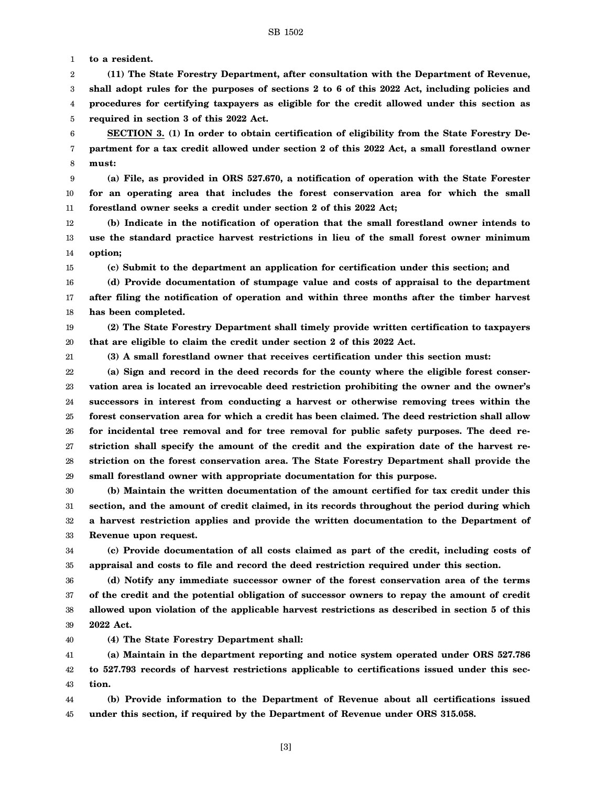1 **to a resident.**

2 3 4 5 **(11) The State Forestry Department, after consultation with the Department of Revenue, shall adopt rules for the purposes of sections 2 to 6 of this 2022 Act, including policies and procedures for certifying taxpayers as eligible for the credit allowed under this section as required in section 3 of this 2022 Act.**

6 7 8 **SECTION 3. (1) In order to obtain certification of eligibility from the State Forestry Department for a tax credit allowed under section 2 of this 2022 Act, a small forestland owner must:**

9 10 11 **(a) File, as provided in ORS 527.670, a notification of operation with the State Forester for an operating area that includes the forest conservation area for which the small forestland owner seeks a credit under section 2 of this 2022 Act;**

12 13 14 **(b) Indicate in the notification of operation that the small forestland owner intends to use the standard practice harvest restrictions in lieu of the small forest owner minimum option;**

**(c) Submit to the department an application for certification under this section; and**

16 17 18 **(d) Provide documentation of stumpage value and costs of appraisal to the department after filing the notification of operation and within three months after the timber harvest has been completed.**

19 20 **(2) The State Forestry Department shall timely provide written certification to taxpayers that are eligible to claim the credit under section 2 of this 2022 Act.**

21

15

**(3) A small forestland owner that receives certification under this section must:**

22 23 24 25 26 27 28 29 **(a) Sign and record in the deed records for the county where the eligible forest conservation area is located an irrevocable deed restriction prohibiting the owner and the owner's successors in interest from conducting a harvest or otherwise removing trees within the forest conservation area for which a credit has been claimed. The deed restriction shall allow for incidental tree removal and for tree removal for public safety purposes. The deed restriction shall specify the amount of the credit and the expiration date of the harvest restriction on the forest conservation area. The State Forestry Department shall provide the small forestland owner with appropriate documentation for this purpose.**

30 31 32 33 **(b) Maintain the written documentation of the amount certified for tax credit under this section, and the amount of credit claimed, in its records throughout the period during which a harvest restriction applies and provide the written documentation to the Department of Revenue upon request.**

34 35 **(c) Provide documentation of all costs claimed as part of the credit, including costs of appraisal and costs to file and record the deed restriction required under this section.**

36 37 38 39 **(d) Notify any immediate successor owner of the forest conservation area of the terms of the credit and the potential obligation of successor owners to repay the amount of credit allowed upon violation of the applicable harvest restrictions as described in section 5 of this 2022 Act.**

40 **(4) The State Forestry Department shall:**

41 42 43 **(a) Maintain in the department reporting and notice system operated under ORS 527.786 to 527.793 records of harvest restrictions applicable to certifications issued under this section.**

44 45 **(b) Provide information to the Department of Revenue about all certifications issued under this section, if required by the Department of Revenue under ORS 315.058.**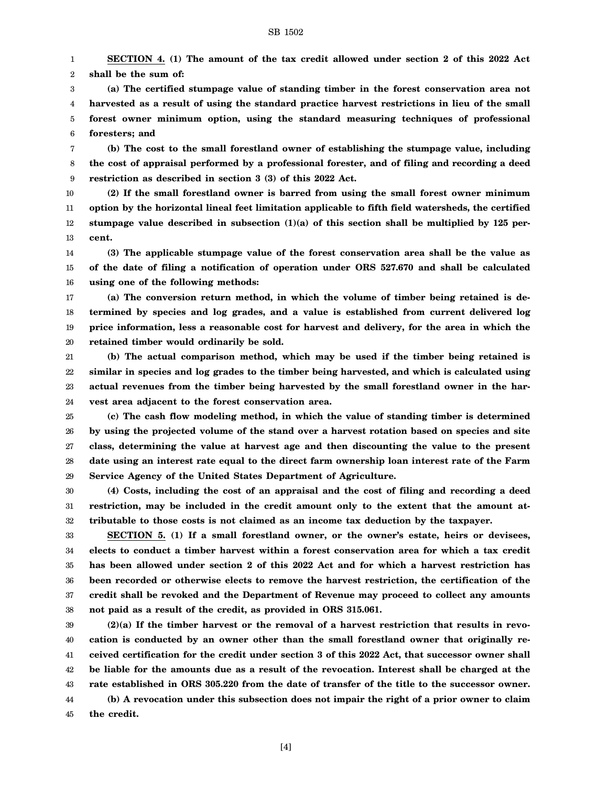1 2 **SECTION 4. (1) The amount of the tax credit allowed under section 2 of this 2022 Act shall be the sum of:**

3 4 5 6 **(a) The certified stumpage value of standing timber in the forest conservation area not harvested as a result of using the standard practice harvest restrictions in lieu of the small forest owner minimum option, using the standard measuring techniques of professional foresters; and**

7 8 9 **(b) The cost to the small forestland owner of establishing the stumpage value, including the cost of appraisal performed by a professional forester, and of filing and recording a deed restriction as described in section 3 (3) of this 2022 Act.**

10 11 12 13 **(2) If the small forestland owner is barred from using the small forest owner minimum option by the horizontal lineal feet limitation applicable to fifth field watersheds, the certified stumpage value described in subsection (1)(a) of this section shall be multiplied by 125 percent.**

14 15 16 **(3) The applicable stumpage value of the forest conservation area shall be the value as of the date of filing a notification of operation under ORS 527.670 and shall be calculated using one of the following methods:**

17 18 19 20 **(a) The conversion return method, in which the volume of timber being retained is determined by species and log grades, and a value is established from current delivered log price information, less a reasonable cost for harvest and delivery, for the area in which the retained timber would ordinarily be sold.**

21 22 23 24 **(b) The actual comparison method, which may be used if the timber being retained is similar in species and log grades to the timber being harvested, and which is calculated using actual revenues from the timber being harvested by the small forestland owner in the harvest area adjacent to the forest conservation area.**

25 26 27 28 29 **(c) The cash flow modeling method, in which the value of standing timber is determined by using the projected volume of the stand over a harvest rotation based on species and site class, determining the value at harvest age and then discounting the value to the present date using an interest rate equal to the direct farm ownership loan interest rate of the Farm Service Agency of the United States Department of Agriculture.**

30 31 32 **(4) Costs, including the cost of an appraisal and the cost of filing and recording a deed restriction, may be included in the credit amount only to the extent that the amount attributable to those costs is not claimed as an income tax deduction by the taxpayer.**

33 34 35 36 37 38 **SECTION 5. (1) If a small forestland owner, or the owner's estate, heirs or devisees, elects to conduct a timber harvest within a forest conservation area for which a tax credit has been allowed under section 2 of this 2022 Act and for which a harvest restriction has been recorded or otherwise elects to remove the harvest restriction, the certification of the credit shall be revoked and the Department of Revenue may proceed to collect any amounts not paid as a result of the credit, as provided in ORS 315.061.**

39 40 41 42 43 44 **(2)(a) If the timber harvest or the removal of a harvest restriction that results in revocation is conducted by an owner other than the small forestland owner that originally received certification for the credit under section 3 of this 2022 Act, that successor owner shall be liable for the amounts due as a result of the revocation. Interest shall be charged at the rate established in ORS 305.220 from the date of transfer of the title to the successor owner. (b) A revocation under this subsection does not impair the right of a prior owner to claim**

45 **the credit.**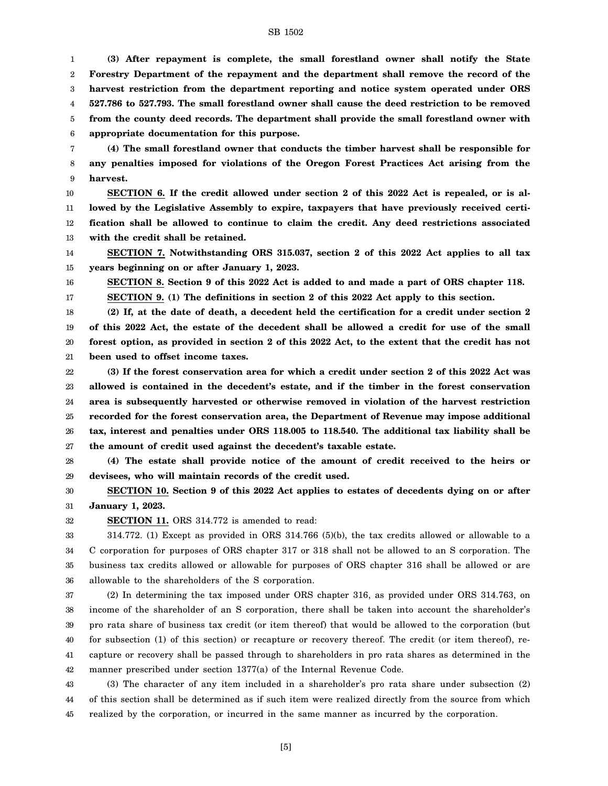#### SB 1502

1 2 3 4 5 6 **(3) After repayment is complete, the small forestland owner shall notify the State Forestry Department of the repayment and the department shall remove the record of the harvest restriction from the department reporting and notice system operated under ORS 527.786 to 527.793. The small forestland owner shall cause the deed restriction to be removed from the county deed records. The department shall provide the small forestland owner with appropriate documentation for this purpose.**

7 8 9 **(4) The small forestland owner that conducts the timber harvest shall be responsible for any penalties imposed for violations of the Oregon Forest Practices Act arising from the harvest.**

10 11 12 13 **SECTION 6. If the credit allowed under section 2 of this 2022 Act is repealed, or is allowed by the Legislative Assembly to expire, taxpayers that have previously received certification shall be allowed to continue to claim the credit. Any deed restrictions associated with the credit shall be retained.**

14 15 **SECTION 7. Notwithstanding ORS 315.037, section 2 of this 2022 Act applies to all tax years beginning on or after January 1, 2023.**

**SECTION 8. Section 9 of this 2022 Act is added to and made a part of ORS chapter 118.**

17 **SECTION 9. (1) The definitions in section 2 of this 2022 Act apply to this section.**

18 19 20 21 **(2) If, at the date of death, a decedent held the certification for a credit under section 2 of this 2022 Act, the estate of the decedent shall be allowed a credit for use of the small forest option, as provided in section 2 of this 2022 Act, to the extent that the credit has not been used to offset income taxes.**

22 23 24 25 26 27 **(3) If the forest conservation area for which a credit under section 2 of this 2022 Act was allowed is contained in the decedent's estate, and if the timber in the forest conservation area is subsequently harvested or otherwise removed in violation of the harvest restriction recorded for the forest conservation area, the Department of Revenue may impose additional tax, interest and penalties under ORS 118.005 to 118.540. The additional tax liability shall be the amount of credit used against the decedent's taxable estate.**

28 29 **(4) The estate shall provide notice of the amount of credit received to the heirs or devisees, who will maintain records of the credit used.**

30 31 **SECTION 10. Section 9 of this 2022 Act applies to estates of decedents dying on or after January 1, 2023.**

32

16

**SECTION 11.** ORS 314.772 is amended to read:

33 34 35 36 314.772. (1) Except as provided in ORS 314.766 (5)(b), the tax credits allowed or allowable to a C corporation for purposes of ORS chapter 317 or 318 shall not be allowed to an S corporation. The business tax credits allowed or allowable for purposes of ORS chapter 316 shall be allowed or are allowable to the shareholders of the S corporation.

37 38 39 40 41 42 (2) In determining the tax imposed under ORS chapter 316, as provided under ORS 314.763, on income of the shareholder of an S corporation, there shall be taken into account the shareholder's pro rata share of business tax credit (or item thereof) that would be allowed to the corporation (but for subsection (1) of this section) or recapture or recovery thereof. The credit (or item thereof), recapture or recovery shall be passed through to shareholders in pro rata shares as determined in the manner prescribed under section 1377(a) of the Internal Revenue Code.

43 44 45 (3) The character of any item included in a shareholder's pro rata share under subsection (2) of this section shall be determined as if such item were realized directly from the source from which realized by the corporation, or incurred in the same manner as incurred by the corporation.